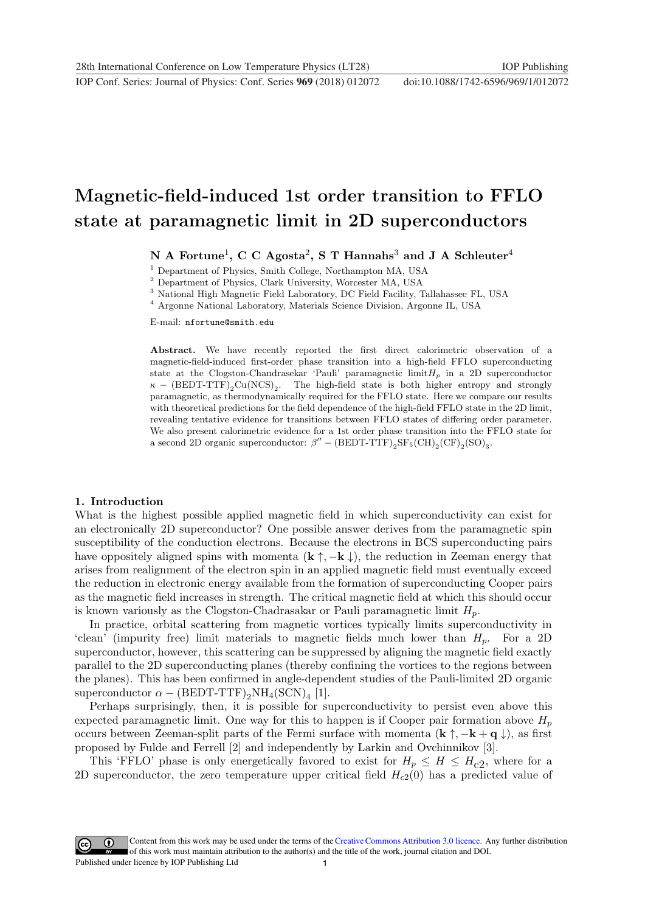# Magnetic-field-induced 1st order transition to FFLO state at paramagnetic limit in 2D superconductors

## N A Fortune<sup>1</sup>, C C Agosta<sup>2</sup>, S T Hannahs<sup>3</sup> and J A Schleuter<sup>4</sup>

 $^1$  Department of Physics, Smith College, Northampton MA, USA  $^2$  Department of Physics, Clark University, Worcester MA, USA  $^3$  National High Magnetic Field Laboratory, DC Field Facility, Tallahassee FL, USA  $^4$  Argo

E-mail: nfortune@smith.edu

Abstract. We have recently reported the first direct calorimetric observation of a magnetic-field-induced first-order phase transition into a high-field FFLO superconducting state at the Clogston-Chandrasekar 'Pauli' paramagnetic  $\liminf P_p$  in a 2D superconductor  $\kappa$  – (BEDT-TTF)<sub>2</sub>Cu(NCS)<sub>2</sub>. The high-field state is both higher entropy and strongly paramagnetic, as thermodynamically required for the FFLO state. Here we compare our results with theoretical predictions for the field dependence of the high-field FFLO state in the 2D limit, revealing tentative evidence for transitions between FFLO states of differing order parameter. We also present calorimetric evidence for a 1st order phase transition into the FFLO state for a second 2D organic superconductor:  $\beta'' - (BEDT-TTF)_{2}SF_{5}(CH)_{2}(CF)_{2}(SO)_{3}$ .

## 1. Introduction

What is the highest possible applied magnetic field in which superconductivity can exist for an electronically 2D superconductor? One possible answer derives from the paramagnetic spin susceptibility of the conduction electrons. Because the electrons in BCS superconducting pairs have oppositely aligned spins with momenta  $(\mathbf{k} \uparrow, -\mathbf{k} \downarrow)$ , the reduction in Zeeman energy that arises from realignment of the electron spin in an applied magnetic field must eventually exceed the reduction in electronic energy available from the formation of superconducting Cooper pairs as the magnetic field increases in strength. The critical magnetic field at which this should occur is known variously as the Clogston-Chadrasakar or Pauli paramagnetic limit  $H_p$ .

In practice, orbital scattering from magnetic vortices typically limits superconductivity in 'clean' (impurity free) limit materials to magnetic fields much lower than  $H_p$ . For a 2D superconductor, however, this scattering can be suppressed by aligning the magnetic field exactly parallel to the 2D superconducting planes (thereby confining the vortices to the regions between the planes). This has been confirmed in angle-dependent studies of the Pauli-limited 2D organic superconductor  $\alpha - (BEDT-TTF)_{2}NH_{4}(SCN)_{4}$  [1].

Perhaps surprisingly, then, it is possible for superconductivity to persist even above this expected paramagnetic limit. One way for this to happen is if Cooper pair formation above  $H_p$ occurs between Zeeman-split parts of the Fermi surface with momenta  $(\mathbf{k} \uparrow, -\mathbf{k} + \mathbf{q} \downarrow)$ , as first proposed by Fulde and Ferrell [2] and independently by Larkin and Ovchinnikov [3].

This 'FFLO' phase is only energetically favored to exist for  $H_p \leq H \leq H_{c2}$ , where for a 2D superconductor, the zero temperature upper critical field  $H_{c2}(0)$  has a predicted value of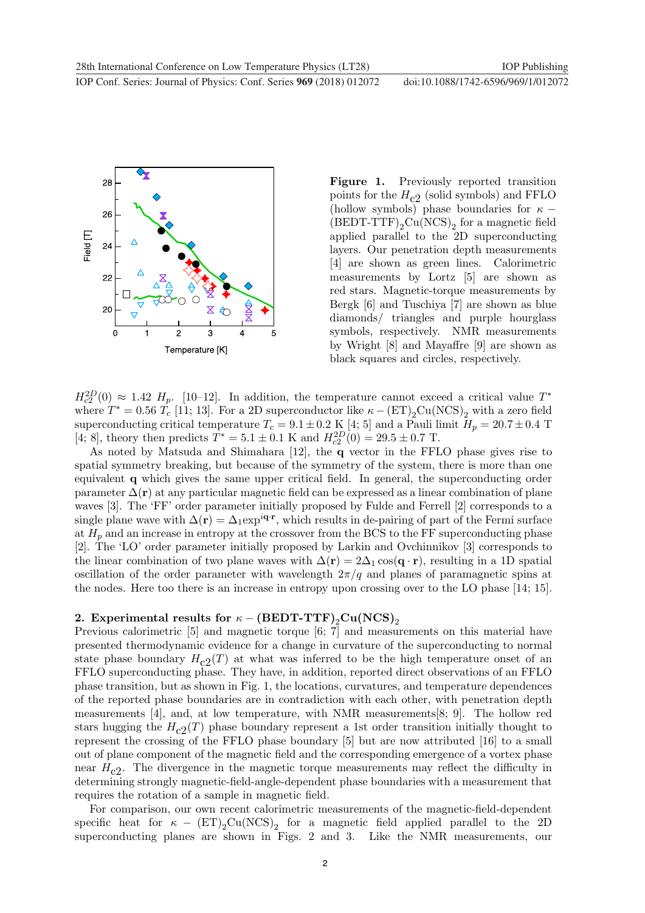



Figure 1. Previously reported transition points for the  $H_{c2}$  (solid symbols) and FFLO (hollow symbols) phase boundaries for  $\kappa$  −  $(BEDT-TTF)_{2}Cu(NCS)_{2}$  for a magnetic field applied parallel to the 2D superconducting layers. Our penetration depth measurements [4] are shown as green lines. Calorimetric measurements by Lortz [5] are shown as red stars. Magnetic-torque measurements by Bergk [6] and Tuschiya [7] are shown as blue diamonds/ triangles and purple hourglass symbols, respectively. NMR measurements by Wright [8] and Mayaffre [9] are shown as black squares and circles, respectively.

 $H_{c2}^{2D}(0) \approx 1.42$  H<sub>p</sub>. [10–12]. In addition, the temperature cannot exceed a critical value T<sup>\*</sup> where  $T^* = 0.56 T_c$  [11; 13]. For a 2D superconductor like  $\kappa - (ET)_2Cu(NCS)_2$  with a zero field superconducting critical temperature  $T_c = 9.1 \pm 0.2 \text{ K } [4; 5]$  and a Pauli limit  $H_p = 20.7 \pm 0.4 \text{ T}$ [4; 8], theory then predicts  $T^* = 5.1 \pm 0.1$  K and  $H_{c2}^{2D}(0) = 29.5 \pm 0.7$  T.

As noted by Matsuda and Shimahara [12], the q vector in the FFLO phase gives rise to spatial symmetry breaking, but because of the symmetry of the system, there is more than one equivalent q which gives the same upper critical field. In general, the superconducting order parameter  $\Delta(\mathbf{r})$  at any particular magnetic field can be expressed as a linear combination of plane waves [3]. The 'FF' order parameter initially proposed by Fulde and Ferrell [2] corresponds to a single plane wave with  $\Delta(\mathbf{r}) = \Delta_1 \exp^{i\mathbf{q}\cdot\mathbf{r}}$ , which results in de-pairing of part of the Fermi surface at  $H_p$  and an increase in entropy at the crossover from the BCS to the FF superconducting phase [2]. The 'LO' order parameter initially proposed by Larkin and Ovchinnikov [3] corresponds to the linear combination of two plane waves with  $\Delta(\mathbf{r})=2\Delta_1 \cos(\mathbf{q}\cdot\mathbf{r})$ , resulting in a 1D spatial oscillation of the order parameter with wavelength  $2\pi/q$  and planes of paramagnetic spins at the nodes. Here too there is an increase in entropy upon crossing over to the LO phase [14; 15].

## 2. Experimental results for  $\kappa - (BEDT-TTF)_{2}Cu(NCS)_{2}$

Previous calorimetric [5] and magnetic torque [6; 7] and measurements on this material have presented thermodynamic evidence for a change in curvature of the superconducting to normal state phase boundary  $H_{c2}(T)$  at what was inferred to be the high temperature onset of an FFLO superconducting phase. They have, in addition, reported direct observations of an FFLO phase transition, but as shown in Fig. 1, the locations, curvatures, and temperature dependences of the reported phase boundaries are in contradiction with each other, with penetration depth measurements [4], and, at low temperature, with NMR measurements[8; 9]. The hollow red stars hugging the  $H_{c2}(T)$  phase boundary represent a 1st order transition initially thought to represent the crossing of the FFLO phase boundary [5] but are now attributed [16] to a small out of plane component of the magnetic field and the corresponding emergence of a vortex phase near  $H_{c2}$ . The divergence in the magnetic torque measurements may reflect the difficulty in determining strongly magnetic-field-angle-dependent phase boundaries with a measurement that requires the rotation of a sample in magnetic field.

For comparison, our own recent calorimetric measurements of the magnetic-field-dependent specific heat for  $\kappa$  –  $(ET)_{2}Cu(NCS)_{2}$  for a magnetic field applied parallel to the 2D superconducting planes are shown in Figs. 2 and 3. Like the NMR measurements, our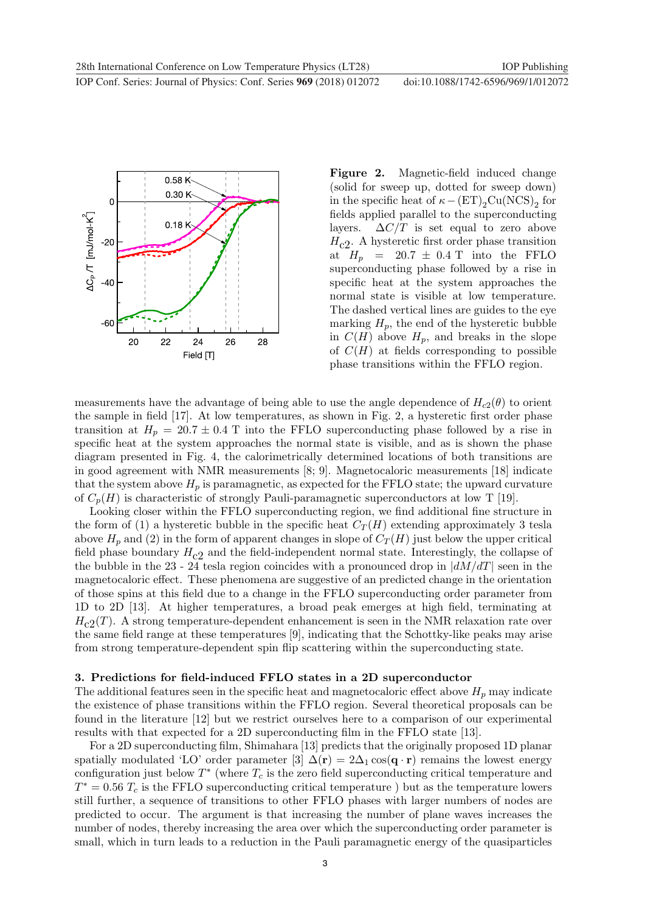**1234567890** ''"" IOP Conf. Series: Journal of Physics: Conf. Series **969** (2018) 012072 doi :10.1088/1742-6596/969/1/012072



Figure 2. Magnetic-field induced change (solid for sweep up, dotted for sweep down) in the specific heat of  $\kappa - (ET)_2Cu(NCS)_2$  for fields applied parallel to the superconducting layers.  $\Delta C/T$  is set equal to zero above  $H_{c2}$ . A hysteretic first order phase transition at  $H_p = 20.7 \pm 0.4$  T into the FFLO superconducting phase followed by a rise in specific heat at the system approaches the normal state is visible at low temperature. The dashed vertical lines are guides to the eye marking  $H_p$ , the end of the hysteretic bubble in  $C(H)$  above  $H_p$ , and breaks in the slope of  $C(H)$  at fields corresponding to possible phase transitions within the FFLO region.

measurements have the advantage of being able to use the angle dependence of  $H_{c2}(\theta)$  to orient the sample in field [17]. At low temperatures, as shown in Fig. 2, a hysteretic first order phase transition at  $H_p = 20.7 \pm 0.4$  T into the FFLO superconducting phase followed by a rise in specific heat at the system approaches the normal state is visible, and as is shown the phase diagram presented in Fig. 4, the calorimetrically determined locations of both transitions are in good agreement with NMR measurements [8; 9]. Magnetocaloric measurements [18] indicate that the system above  $H_p$  is paramagnetic, as expected for the FFLO state; the upward curvature of  $C_p(H)$  is characteristic of strongly Pauli-paramagnetic superconductors at low T [19].

Looking closer within the FFLO superconducting region, we find additional fine structure in the form of (1) a hysteretic bubble in the specific heat  $C_T(H)$  extending approximately 3 tesla above  $H_p$  and (2) in the form of apparent changes in slope of  $C_T(H)$  just below the upper critical field phase boundary  $H_{c2}$  and the field-independent normal state. Interestingly, the collapse of the bubble in the 23 - 24 tesla region coincides with a pronounced drop in  $\left| dM/dT \right|$  seen in the magnetocaloric effect. These phenomena are suggestive of an predicted change in the orientation of those spins at this field due to a change in the FFLO superconducting order parameter from 1D to 2D [13]. At higher temperatures, a broad peak emerges at high field, terminating at  $H_{c2}(T)$ . A strong temperature-dependent enhancement is seen in the NMR relaxation rate over the same field range at these temperatures [9], indicating that the Schottky-like peaks may arise from strong temperature-dependent spin flip scattering within the superconducting state.

#### 3. Predictions for field-induced FFLO states in a 2D superconductor

The additional features seen in the specific heat and magnetocaloric effect above  $H_p$  may indicate the existence of phase transitions within the FFLO region. Several theoretical proposals can be found in the literature [12] but we restrict ourselves here to a comparison of our experimental results with that expected for a 2D superconducting film in the FFLO state [13].

For a 2D superconducting film, Shimahara [13] predicts that the originally proposed 1D planar spatially modulated 'LO' order parameter [3]  $\Delta(\mathbf{r})=2\Delta_1 \cos(\mathbf{q}\cdot\mathbf{r})$  remains the lowest energy configuration just below  $T^*$  (where  $T_c$  is the zero field superconducting critical temperature and  $T^* = 0.56 T_c$  is the FFLO superconducting critical temperature ) but as the temperature lowers still further, a sequence of transitions to other FFLO phases with larger numbers of nodes are predicted to occur. The argument is that increasing the number of plane waves increases the number of nodes, thereby increasing the area over which the superconducting order parameter is small, which in turn leads to a reduction in the Pauli paramagnetic energy of the quasiparticles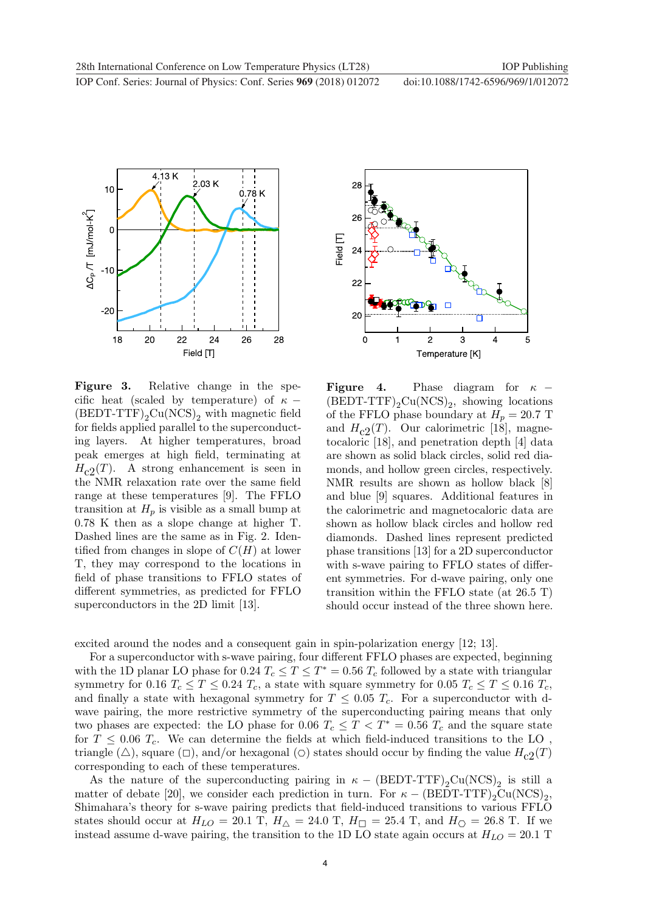

Figure 3. Relative change in the specific heat (scaled by temperature) of  $\kappa$  −  $(BEDT-TTF)_{2}Cu(NCS)_{2}$  with magnetic field for fields applied parallel to the superconducting layers. At higher temperatures, broad peak emerges at high field, terminating at  $H_{c2}(T)$ . A strong enhancement is seen in the NMR relaxation rate over the same field range at these temperatures [9]. The FFLO transition at  $H_p$  is visible as a small bump at 0.78 K then as a slope change at higher T. Dashed lines are the same as in Fig. 2. Identified from changes in slope of  $C(H)$  at lower T, they may correspond to the locations in field of phase transitions to FFLO states of different symmetries, as predicted for FFLO superconductors in the 2D limit [13].



**Figure 4.** Phase diagram for  $\kappa$  –  $(BEDT-TTF)_{2}Cu(NCS)_{2}$ , showing locations of the FFLO phase boundary at  $H_p = 20.7$  T and  $H_{c2}(T)$ . Our calorimetric [18], magnetocaloric [18], and penetration depth [4] data are shown as solid black circles, solid red diamonds, and hollow green circles, respectively. NMR results are shown as hollow black [8] and blue [9] squares. Additional features in the calorimetric and magnetocaloric data are shown as hollow black circles and hollow red diamonds. Dashed lines represent predicted phase transitions [13] for a 2D superconductor with s-wave pairing to FFLO states of different symmetries. For d-wave pairing, only one transition within the FFLO state (at 26.5 T) should occur instead of the three shown here.

excited around the nodes and a consequent gain in spin-polarization energy [12; 13].

For a superconductor with s-wave pairing, four different FFLO phases are expected, beginning with the 1D planar LO phase for 0.24  $T_c \le T \le T^* = 0.56 T_c$  followed by a state with triangular symmetry for 0.16  $T_c \le T \le 0.24$   $T_c$ , a state with square symmetry for 0.05  $T_c \le T \le 0.16$   $T_c$ , and finally a state with hexagonal symmetry for  $T \leq 0.05$   $T_c$ . For a superconductor with dwave pairing, the more restrictive symmetry of the superconducting pairing means that only two phases are expected: the LO phase for 0.06  $T_c \leq T < T^* = 0.56$   $T_c$  and the square state for  $T \leq 0.06$   $T_c$ . We can determine the fields at which field-induced transitions to the LO, triangle ( $\triangle$ ), square ( $\Box$ ), and/or hexagonal ( $\Diamond$ ) states should occur by finding the value  $H_{c2}(T)$ corresponding to each of these temperatures.

As the nature of the superconducting pairing in  $\kappa - (BEDT-TTF)_{2}Cu(NCS)_{2}$  is still a matter of debate [20], we consider each prediction in turn. For  $\kappa$  – (BEDT-TTF)<sub>2</sub>Cu(NCS)<sub>2</sub>, Shimahara's theory for s-wave pairing predicts that field-induced transitions to various FFLO states should occur at  $H_{LO} = 20.1$  T,  $H_{\triangle} = 24.0$  T,  $H_{\square} = 25.4$  T, and  $H_{\square} = 26.8$  T. If we instead assume d-wave pairing, the transition to the 1D LO state again occurs at  $H_{LO} = 20.1$  T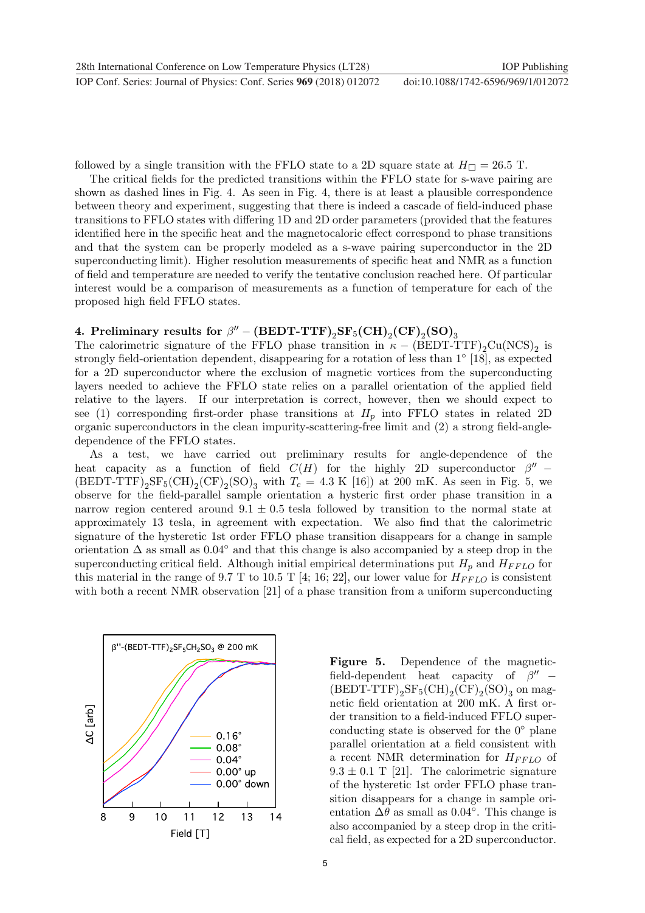followed by a single transition with the FFLO state to a 2D square state at  $H_{\Box} = 26.5$  T.

The critical fields for the predicted transitions within the FFLO state for s-wave pairing are shown as dashed lines in Fig. 4. As seen in Fig. 4, there is at least a plausible correspondence between theory and experiment, suggesting that there is indeed a cascade of field-induced phase transitions to FFLO states with differing 1D and 2D order parameters (provided that the features identified here in the specific heat and the magnetocaloric effect correspond to phase transitions and that the system can be properly modeled as a s-wave pairing superconductor in the 2D superconducting limit). Higher resolution measurements of specific heat and NMR as a function of field and temperature are needed to verify the tentative conclusion reached here. Of particular interest would be a comparison of measurements as a function of temperature for each of the proposed high field FFLO states.

# 4. Preliminary results for  $\beta'' - (BEDT-TTF)_2SF_5(CH)_2(CF)_2(SO)_3$

The calorimetric signature of the FFLO phase transition in  $\kappa - (BEDT-TTF)_{2}Cu(NCS)_{2}$  is strongly field-orientation dependent, disappearing for a rotation of less than 1◦ [18], as expected for a 2D superconductor where the exclusion of magnetic vortices from the superconducting layers needed to achieve the FFLO state relies on a parallel orientation of the applied field relative to the layers. If our interpretation is correct, however, then we should expect to see (1) corresponding first-order phase transitions at  $H_p$  into FFLO states in related 2D organic superconductors in the clean impurity-scattering-free limit and (2) a strong field-angledependence of the FFLO states.

As a test, we have carried out preliminary results for angle-dependence of the heat capacity as a function of field  $C(H)$  for the highly 2D superconductor  $\beta''$  –  $(BEDT-TTF)_{2}SF_{5}(CH)_{2}(CF)_{2}(SO)_{3}$  with  $T_{c} = 4.3$  K [16]) at 200 mK. As seen in Fig. 5, we observe for the field-parallel sample orientation a hysteric first order phase transition in a narrow region centered around  $9.1 \pm 0.5$  tesla followed by transition to the normal state at approximately 13 tesla, in agreement with expectation. We also find that the calorimetric signature of the hysteretic 1st order FFLO phase transition disappears for a change in sample orientation  $\Delta$  as small as 0.04° and that this change is also accompanied by a steep drop in the superconducting critical field. Although initial empirical determinations put  $H_p$  and  $H_{FFLO}$  for this material in the range of 9.7 T to 10.5 T [4; 16; 22], our lower value for  $H_{FFLO}$  is consistent with both a recent NMR observation [21] of a phase transition from a uniform superconducting



Figure 5. Dependence of the magneticfield-dependent heat capacity of  $\beta''$  –  $(BEDT-TTF)_{2}SF_{5}(CH)_{2}(CF)_{2}(SO)_{3}$  on magnetic field orientation at 200 mK. A first order transition to a field-induced FFLO superconducting state is observed for the  $0°$  plane parallel orientation at a field consistent with a recent NMR determination for  $H_{FFLO}$  of  $9.3 \pm 0.1$  T [21]. The calorimetric signature of the hysteretic 1st order FFLO phase transition disappears for a change in sample orientation  $\Delta\theta$  as small as 0.04°. This change is also accompanied by a steep drop in the critical field, as expected for a 2D superconductor.